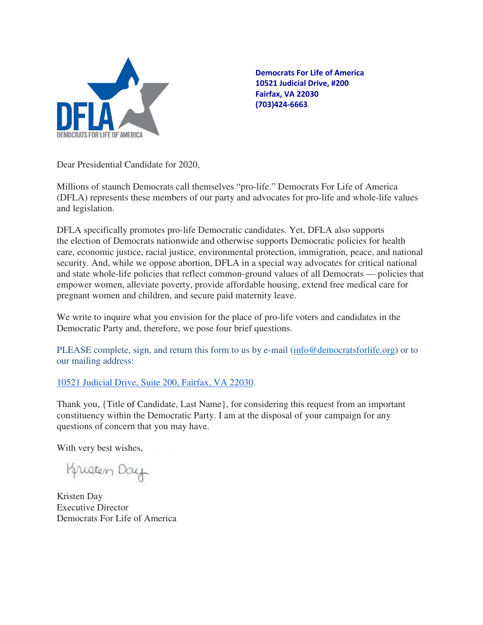

Democrats For Life of America 10521 Judicial Drive, #200 Fairfax, VA 22030 (703)424-6663

Dear Presidential Candidate for 2020,

Millions of staunch Democrats call themselves "pro-life." Democrats For Life of America (DFLA) represents these members of our party and advocates for pro-life and whole-life values and legislation.

DFLA specifically promotes pro-life Democratic candidates. Yet, DFLA also supports the election of Democrats nationwide and otherwise supports Democratic policies for health care, economic justice, racial justice, environmental protection, immigration, peace, and national security. And, while we oppose abortion, DFLA in a special way advocates for critical national and state whole-life policies that reflect common-ground values of all Democrats — policies that empower women, alleviate poverty, provide affordable housing, extend free medical care for pregnant women and children, and secure paid maternity leave.

We write to inquire what you envision for the place of pro-life voters and candidates in the Democratic Party and, therefore, we pose four brief questions.

PLEASE complete, sign, and return this form to us by e-mail (info@democratsforlife.org) or to our mailing address:

## 10521 Judicial Drive, Suite 200, Fairfax, VA 22030.

Thank you, {Title of Candidate, Last Name}, for considering this request from an important constituency within the Democratic Party. I am at the disposal of your campaign for any questions of concern that you may have.

With very best wishes,

Krusten Day

Kristen Day Executive Director Democrats For Life of America